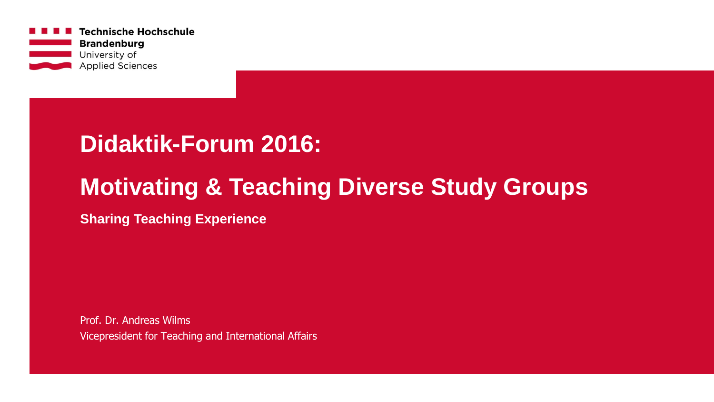

## **Didaktik-Forum 2016:**

### **Motivating & Teaching Diverse Study Groups**

**Sharing Teaching Experience**

Prof. Dr. Andreas Wilms Vicepresident for Teaching and International Affairs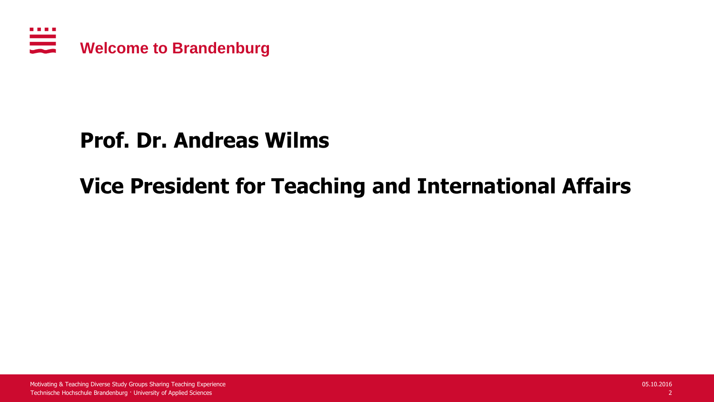

### **Prof. Dr. Andreas Wilms**

### **Vice President for Teaching and International Affairs**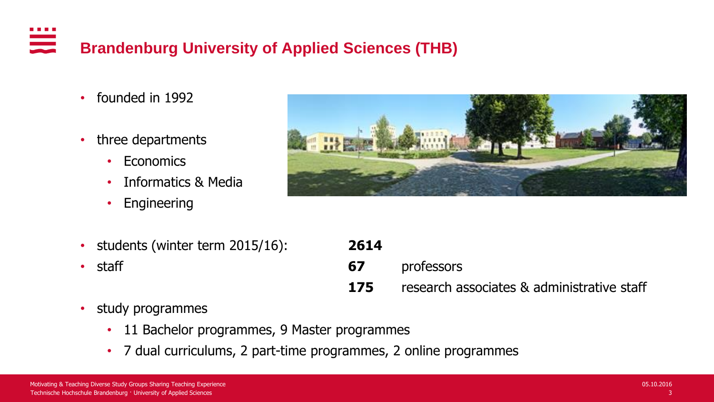#### <u>anana</u><br>Manazarta **Brandenburg University of Applied Sciences (THB)**

- founded in 1992
- three departments
	- Economics
	- Informatics & Media
	- Engineering



- students (winter term 2015/16):
- 

| • students (winter term 2015/16): | 2614 |                                            |
|-----------------------------------|------|--------------------------------------------|
| $\cdot$ staff                     | 67   | professors                                 |
|                                   | 175  | research associates & administrative staff |

- study programmes
	- 11 Bachelor programmes, 9 Master programmes
	- 7 dual curriculums, 2 part-time programmes, 2 online programmes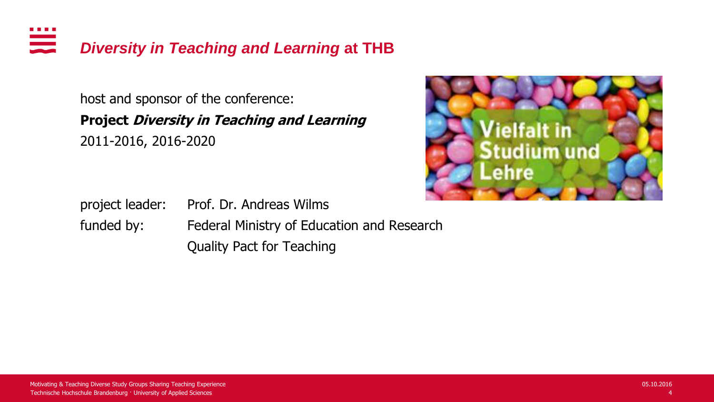. . . . <u>anasa</u><br>Barat *Diversity in Teaching and Learning* **at THB**

> host and sponsor of the conference: **Project Diversity in Teaching and Learning**  2011-2016, 2016-2020

project leader: Prof. Dr. Andreas Wilms funded by: Federal Ministry of Education and Research Quality Pact for Teaching

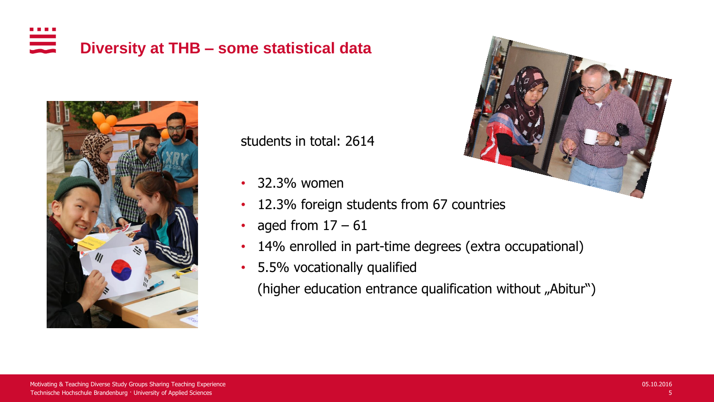### ana any indrindra dia 1919.<br>Ny faritr'ora dia GMT+1. **Diversity at THB – some statistical data**



students in total: 2614

- 32.3% women
- 12.3% foreign students from 67 countries
- aged from  $17 61$
- 14% enrolled in part-time degrees (extra occupational)
- 5.5% vocationally qualified

(higher education entrance qualification without "Abitur")

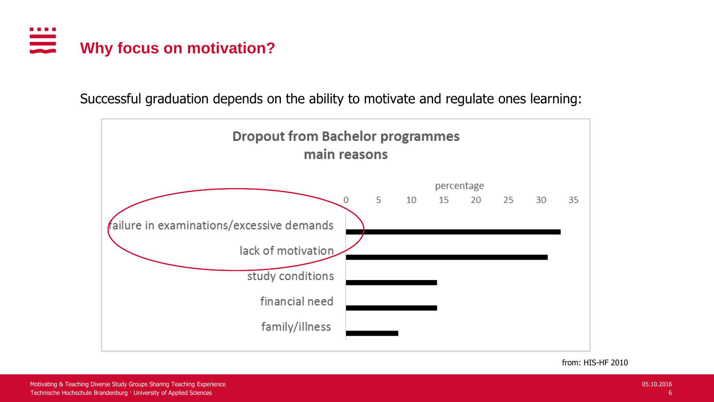

Successful graduation depends on the ability to motivate and regulate ones learning:



from: HIS-HF 2010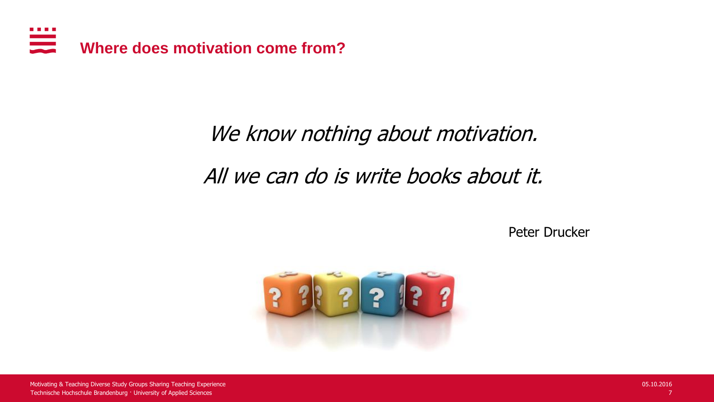

## We know nothing about motivation. All we can do is write books about it.

Peter Drucker

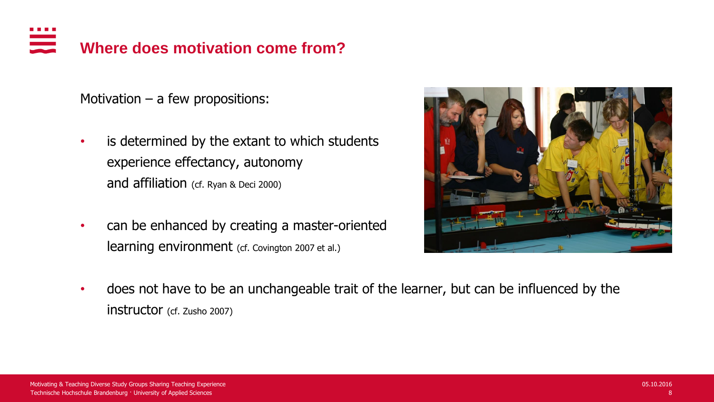#### **Where does motivation come from?**

Motivation  $-$  a few propositions:

- is determined by the extant to which students experience effectancy, autonomy and affiliation (cf. Ryan & Deci 2000)
- can be enhanced by creating a master-oriented learning environment (cf. Covington 2007 et al.)



• does not have to be an unchangeable trait of the learner, but can be influenced by the instructor (cf. Zusho 2007)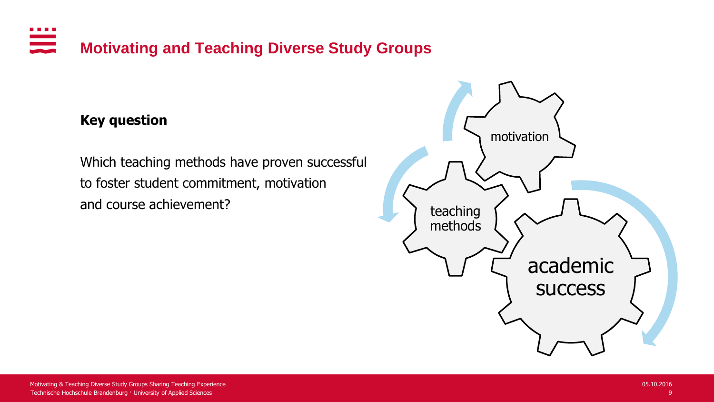#### . . . . <u>ana</u> **Motivating and Teaching Diverse Study Groups**

#### **Key question**

Which teaching methods have proven successful to foster student commitment, motivation and course achievement?

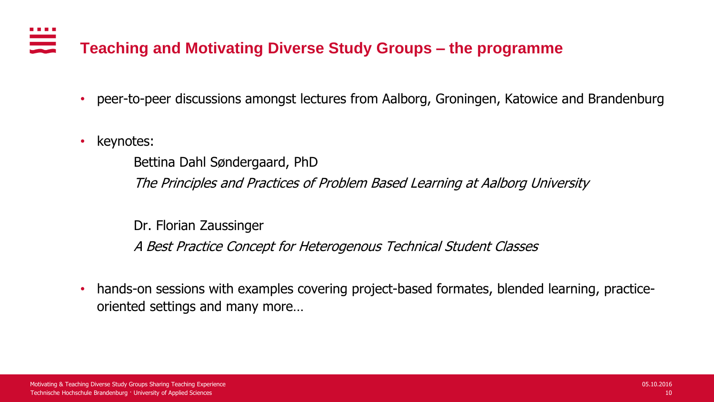# **Teaching and Motivating Diverse Study Groups – the programme**

- peer-to-peer discussions amongst lectures from Aalborg, Groningen, Katowice and Brandenburg
- keynotes:

Bettina Dahl Søndergaard, PhD

The Principles and Practices of Problem Based Learning at Aalborg University

Dr. Florian Zaussinger

A Best Practice Concept for Heterogenous Technical Student Classes

• hands-on sessions with examples covering project-based formates, blended learning, practiceoriented settings and many more…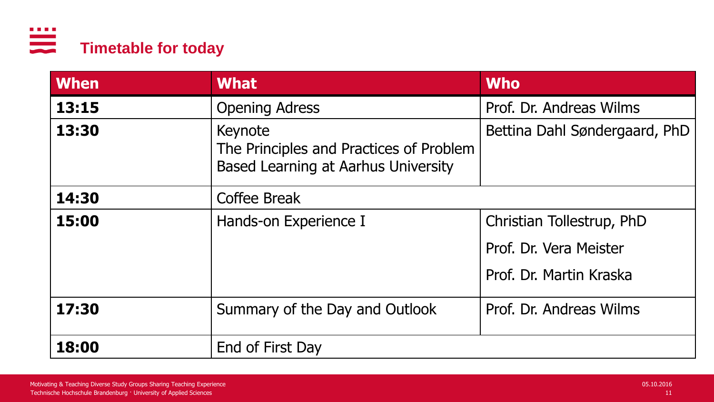

| <b>When</b>                  | <b>What</b>                                                                               | <b>Who</b>                    |
|------------------------------|-------------------------------------------------------------------------------------------|-------------------------------|
| 13:15                        | <b>Opening Adress</b>                                                                     | Prof. Dr. Andreas Wilms       |
| 13:30                        | Keynote<br>The Principles and Practices of Problem<br>Based Learning at Aarhus University | Bettina Dahl Søndergaard, PhD |
| 14:30<br><b>Coffee Break</b> |                                                                                           |                               |
| 15:00                        | Hands-on Experience I                                                                     | Christian Tollestrup, PhD     |
|                              |                                                                                           | Prof. Dr. Vera Meister        |
|                              |                                                                                           | Prof. Dr. Martin Kraska       |
| 17:30                        | Summary of the Day and Outlook                                                            | Prof. Dr. Andreas Wilms       |
| 18:00<br>End of First Day    |                                                                                           |                               |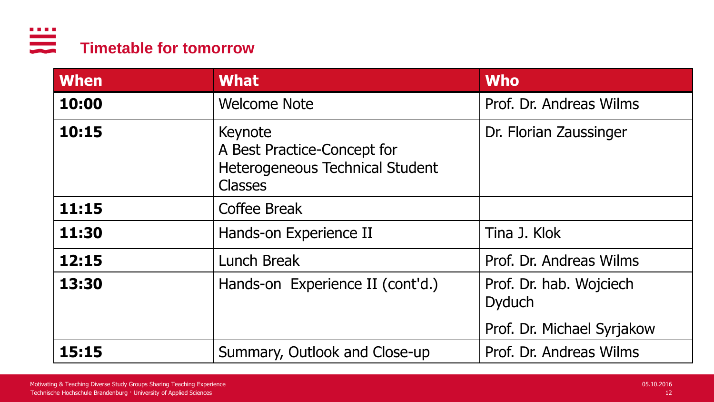

| <b>When</b> | <b>What</b>                                                                                 | <b>Who</b>                                                             |
|-------------|---------------------------------------------------------------------------------------------|------------------------------------------------------------------------|
| 10:00       | <b>Welcome Note</b>                                                                         | Prof. Dr. Andreas Wilms                                                |
| 10:15       | Keynote<br>A Best Practice-Concept for<br>Heterogeneous Technical Student<br><b>Classes</b> | Dr. Florian Zaussinger                                                 |
| 11:15       | Coffee Break                                                                                |                                                                        |
| 11:30       | Hands-on Experience II                                                                      | Tina J. Klok                                                           |
| 12:15       | <b>Lunch Break</b>                                                                          | Prof. Dr. Andreas Wilms                                                |
| 13:30       | Hands-on Experience II (cont'd.)                                                            | Prof. Dr. hab. Wojciech<br><b>Dyduch</b><br>Prof. Dr. Michael Syrjakow |
| 15:15       | Summary, Outlook and Close-up                                                               | Prof. Dr. Andreas Wilms                                                |